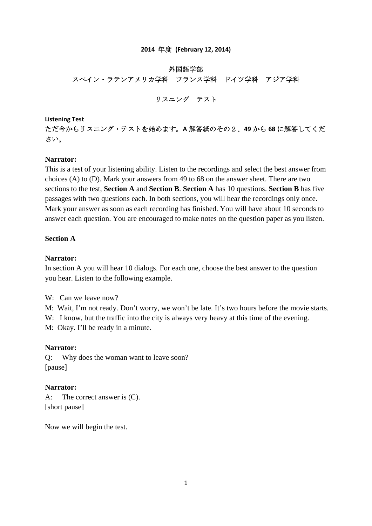#### **2014** 年度 **(February 12, 2014)**

#### 外国語学部

スペイン・ラテンアメリカ学科 フランス学科 ドイツ学科 アジア学科

# リスニング テスト

**Listening Test**

ただ今からリスニング・テストを始めます。**A** 解答紙のその2、**49** から **68** に解答してくだ さい。

#### **Narrator:**

This is a test of your listening ability. Listen to the recordings and select the best answer from choices (A) to (D). Mark your answers from 49 to 68 on the answer sheet. There are two sections to the test, **Section A** and **Section B**. **Section A** has 10 questions. **Section B** has five passages with two questions each. In both sections, you will hear the recordings only once. Mark your answer as soon as each recording has finished. You will have about 10 seconds to answer each question. You are encouraged to make notes on the question paper as you listen.

#### **Section A**

# **Narrator:**

In section A you will hear 10 dialogs. For each one, choose the best answer to the question you hear. Listen to the following example.

W: Can we leave now?

M: Wait, I'm not ready. Don't worry, we won't be late. It's two hours before the movie starts.

W: I know, but the traffic into the city is always very heavy at this time of the evening.

M: Okay. I'll be ready in a minute.

## **Narrator:**

Q: Why does the woman want to leave soon? [pause]

## **Narrator:**

A: The correct answer is (C). [short pause]

Now we will begin the test.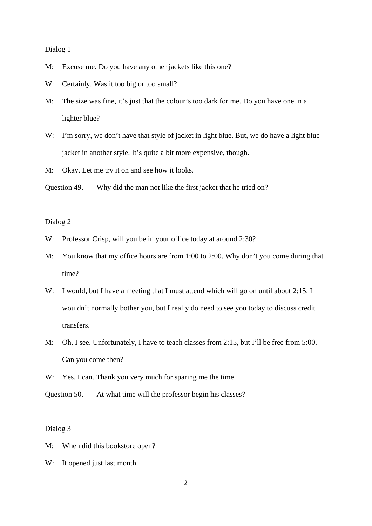Dialog 1

- M: Excuse me. Do you have any other jackets like this one?
- W: Certainly. Was it too big or too small?
- M: The size was fine, it's just that the colour's too dark for me. Do you have one in a lighter blue?
- W: I'm sorry, we don't have that style of jacket in light blue. But, we do have a light blue jacket in another style. It's quite a bit more expensive, though.

M: Okay. Let me try it on and see how it looks.

Question 49. Why did the man not like the first jacket that he tried on?

Dialog 2

- W: Professor Crisp, will you be in your office today at around 2:30?
- M: You know that my office hours are from 1:00 to 2:00. Why don't you come during that time?
- W: I would, but I have a meeting that I must attend which will go on until about 2:15. I wouldn't normally bother you, but I really do need to see you today to discuss credit transfers.
- M: Oh, I see. Unfortunately, I have to teach classes from 2:15, but I'll be free from 5:00. Can you come then?
- W: Yes, I can. Thank you very much for sparing me the time.

Question 50. At what time will the professor begin his classes?

- M: When did this bookstore open?
- W: It opened just last month.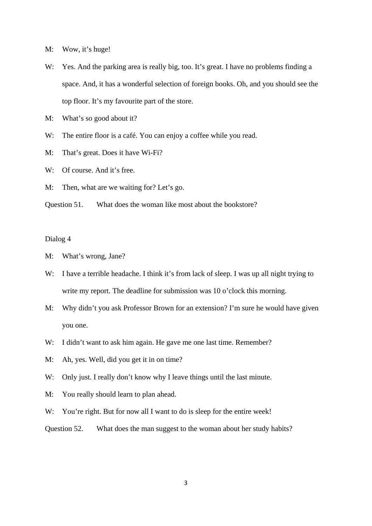- M: Wow, it's huge!
- W: Yes. And the parking area is really big, too. It's great. I have no problems finding a space. And, it has a wonderful selection of foreign books. Oh, and you should see the top floor. It's my favourite part of the store.
- M: What's so good about it?
- W: The entire floor is a café. You can enjoy a coffee while you read.
- M: That's great. Does it have Wi-Fi?
- W: Of course, And it's free.
- M: Then, what are we waiting for? Let's go.
- Question 51. What does the woman like most about the bookstore?

- M: What's wrong, Jane?
- W: I have a terrible headache. I think it's from lack of sleep. I was up all night trying to write my report. The deadline for submission was 10 o'clock this morning.
- M: Why didn't you ask Professor Brown for an extension? I'm sure he would have given you one.
- W: I didn't want to ask him again. He gave me one last time. Remember?
- M: Ah, yes. Well, did you get it in on time?
- W: Only just. I really don't know why I leave things until the last minute.
- M: You really should learn to plan ahead.
- W: You're right. But for now all I want to do is sleep for the entire week!
- Question 52. What does the man suggest to the woman about her study habits?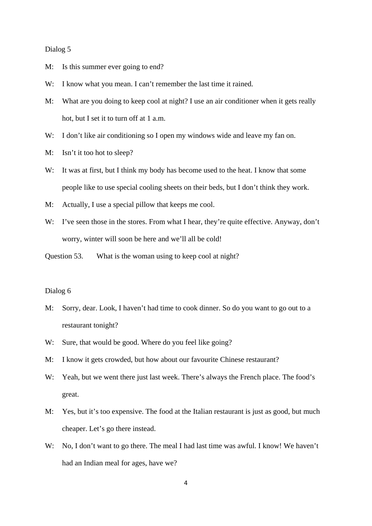#### Dialog 5

- M: Is this summer ever going to end?
- W: I know what you mean. I can't remember the last time it rained.
- M: What are you doing to keep cool at night? I use an air conditioner when it gets really hot, but I set it to turn off at 1 a.m.
- W: I don't like air conditioning so I open my windows wide and leave my fan on.
- M: Isn't it too hot to sleep?
- W: It was at first, but I think my body has become used to the heat. I know that some people like to use special cooling sheets on their beds, but I don't think they work.
- M: Actually, I use a special pillow that keeps me cool.
- W: I've seen those in the stores. From what I hear, they're quite effective. Anyway, don't worry, winter will soon be here and we'll all be cold!
- Question 53. What is the woman using to keep cool at night?

- M: Sorry, dear. Look, I haven't had time to cook dinner. So do you want to go out to a restaurant tonight?
- W: Sure, that would be good. Where do you feel like going?
- M: I know it gets crowded, but how about our favourite Chinese restaurant?
- W: Yeah, but we went there just last week. There's always the French place. The food's great.
- M: Yes, but it's too expensive. The food at the Italian restaurant is just as good, but much cheaper. Let's go there instead.
- W: No, I don't want to go there. The meal I had last time was awful. I know! We haven't had an Indian meal for ages, have we?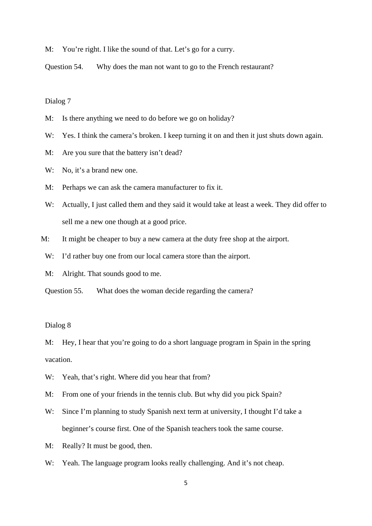M: You're right. I like the sound of that. Let's go for a curry.

Question 54. Why does the man not want to go to the French restaurant?

# Dialog 7

- M: Is there anything we need to do before we go on holiday?
- W: Yes. I think the camera's broken. I keep turning it on and then it just shuts down again.
- M: Are you sure that the battery isn't dead?
- W: No, it's a brand new one.
- M: Perhaps we can ask the camera manufacturer to fix it.
- W: Actually, I just called them and they said it would take at least a week. They did offer to sell me a new one though at a good price.
- M: It might be cheaper to buy a new camera at the duty free shop at the airport.
	- W: I'd rather buy one from our local camera store than the airport.
- M: Alright. That sounds good to me.
- Question 55. What does the woman decide regarding the camera?

# Dialog 8

M: Hey, I hear that you're going to do a short language program in Spain in the spring vacation.

- W: Yeah, that's right. Where did you hear that from?
- M: From one of your friends in the tennis club. But why did you pick Spain?
- W: Since I'm planning to study Spanish next term at university, I thought I'd take a beginner's course first. One of the Spanish teachers took the same course.
- M: Really? It must be good, then.
- W: Yeah. The language program looks really challenging. And it's not cheap.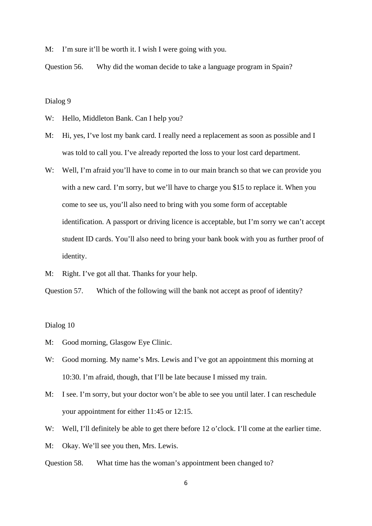M: I'm sure it'll be worth it. I wish I were going with you.

Question 56. Why did the woman decide to take a language program in Spain?

Dialog 9

W: Hello, Middleton Bank. Can I help you?

- M: Hi, yes, I've lost my bank card. I really need a replacement as soon as possible and I was told to call you. I've already reported the loss to your lost card department.
- W: Well, I'm afraid you'll have to come in to our main branch so that we can provide you with a new card. I'm sorry, but we'll have to charge you \$15 to replace it. When you come to see us, you'll also need to bring with you some form of acceptable identification. A passport or driving licence is acceptable, but I'm sorry we can't accept student ID cards. You'll also need to bring your bank book with you as further proof of identity.
- M: Right. I've got all that. Thanks for your help.

Question 57. Which of the following will the bank not accept as proof of identity?

- M: Good morning, Glasgow Eye Clinic.
- W: Good morning. My name's Mrs. Lewis and I've got an appointment this morning at 10:30. I'm afraid, though, that I'll be late because I missed my train.
- M: I see. I'm sorry, but your doctor won't be able to see you until later. I can reschedule your appointment for either 11:45 or 12:15.
- W: Well, I'll definitely be able to get there before 12 o'clock. I'll come at the earlier time.
- M: Okay. We'll see you then, Mrs. Lewis.
- Question 58. What time has the woman's appointment been changed to?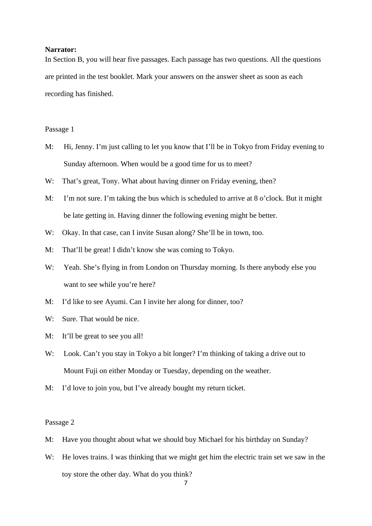#### **Narrator:**

In Section B, you will hear five passages. Each passage has two questions. All the questions are printed in the test booklet. Mark your answers on the answer sheet as soon as each recording has finished.

#### Passage 1

- M: Hi, Jenny. I'm just calling to let you know that I'll be in Tokyo from Friday evening to Sunday afternoon. When would be a good time for us to meet?
- W: That's great, Tony. What about having dinner on Friday evening, then?
- M: I'm not sure. I'm taking the bus which is scheduled to arrive at 8 o'clock. But it might be late getting in. Having dinner the following evening might be better.
- W: Okay. In that case, can I invite Susan along? She'll be in town, too.
- M: That'll be great! I didn't know she was coming to Tokyo.
- W: Yeah. She's flying in from London on Thursday morning. Is there anybody else you want to see while you're here?
- M: I'd like to see Ayumi. Can I invite her along for dinner, too?
- W: Sure. That would be nice.
- M: It'll be great to see you all!
- W: Look. Can't you stay in Tokyo a bit longer? I'm thinking of taking a drive out to Mount Fuji on either Monday or Tuesday, depending on the weather.
- M: I'd love to join you, but I've already bought my return ticket.

#### Passage 2

- M: Have you thought about what we should buy Michael for his birthday on Sunday?
- W: He loves trains. I was thinking that we might get him the electric train set we saw in the toy store the other day. What do you think?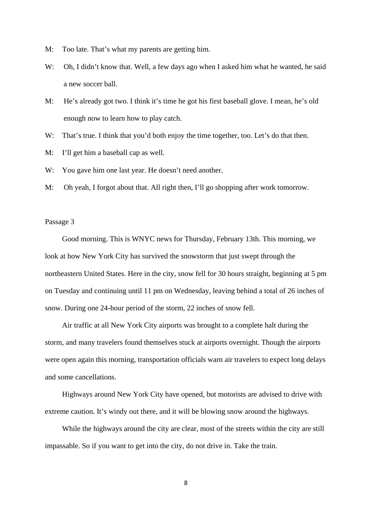- M: Too late. That's what my parents are getting him.
- W: Oh, I didn't know that. Well, a few days ago when I asked him what he wanted, he said a new soccer ball.
- M: He's already got two. I think it's time he got his first baseball glove. I mean, he's old enough now to learn how to play catch.
- W: That's true. I think that you'd both enjoy the time together, too. Let's do that then.
- M: I'll get him a baseball cap as well.
- W: You gave him one last year. He doesn't need another.
- M: Oh yeah, I forgot about that. All right then, I'll go shopping after work tomorrow.

## Passage 3

 Good morning. This is WNYC news for Thursday, February 13th. This morning, we look at how New York City has survived the snowstorm that just swept through the northeastern United States. Here in the city, snow fell for 30 hours straight, beginning at 5 pm on Tuesday and continuing until 11 pm on Wednesday, leaving behind a total of 26 inches of snow. During one 24-hour period of the storm, 22 inches of snow fell.

 Air traffic at all New York City airports was brought to a complete halt during the storm, and many travelers found themselves stuck at airports overnight. Though the airports were open again this morning, transportation officials warn air travelers to expect long delays and some cancellations.

 Highways around New York City have opened, but motorists are advised to drive with extreme caution. It's windy out there, and it will be blowing snow around the highways.

 While the highways around the city are clear, most of the streets within the city are still impassable. So if you want to get into the city, do not drive in. Take the train.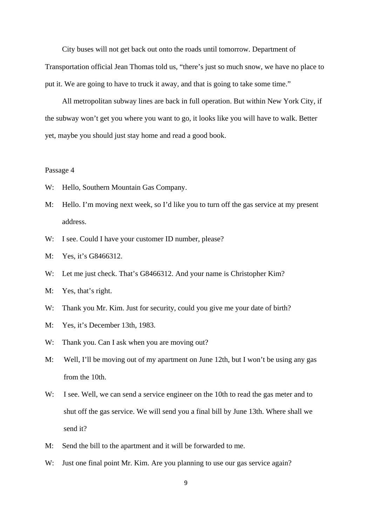City buses will not get back out onto the roads until tomorrow. Department of Transportation official Jean Thomas told us, "there's just so much snow, we have no place to put it. We are going to have to truck it away, and that is going to take some time."

 All metropolitan subway lines are back in full operation. But within New York City, if the subway won't get you where you want to go, it looks like you will have to walk. Better yet, maybe you should just stay home and read a good book.

## Passage 4

- W: Hello, Southern Mountain Gas Company.
- M: Hello. I'm moving next week, so I'd like you to turn off the gas service at my present address.
- W: I see. Could I have your customer ID number, please?
- M: Yes, it's G8466312.
- W: Let me just check. That's G8466312. And your name is Christopher Kim?
- M: Yes, that's right.
- W: Thank you Mr. Kim. Just for security, could you give me your date of birth?
- M: Yes, it's December 13th, 1983.
- W: Thank you. Can I ask when you are moving out?
- M: Well, I'll be moving out of my apartment on June 12th, but I won't be using any gas from the 10th.
- W: I see. Well, we can send a service engineer on the 10th to read the gas meter and to shut off the gas service. We will send you a final bill by June 13th. Where shall we send it?
- M: Send the bill to the apartment and it will be forwarded to me.
- W: Just one final point Mr. Kim. Are you planning to use our gas service again?